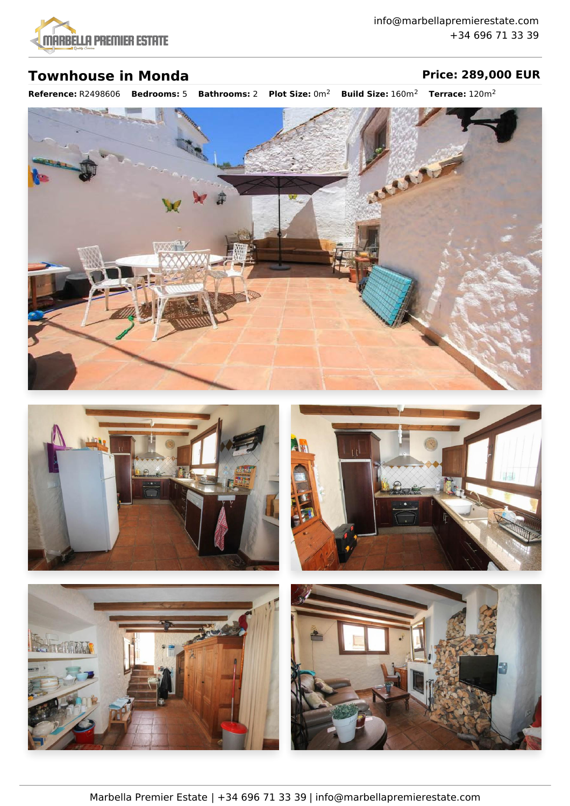

## **Townhouse in Monda Price:** 289,000 **EUR**

**Reference:** R2498606 **Bedrooms:** 5 **Bathrooms:** 2 **Plot Size:** 0m<sup>2</sup> **Build Size:** 160m<sup>2</sup> **Terrace:** 120m<sup>2</sup>